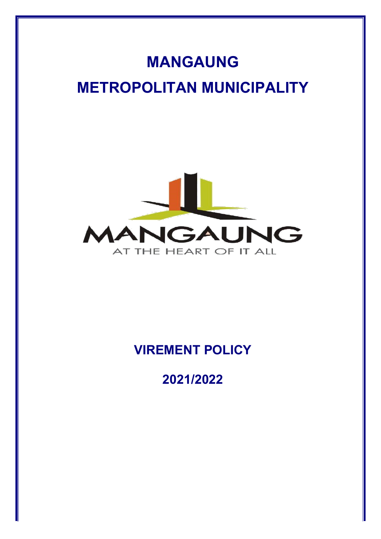# **MANGAUNG METROPOLITAN MUNICIPALITY**



# **VIREMENT POLICY**

**2021/2022**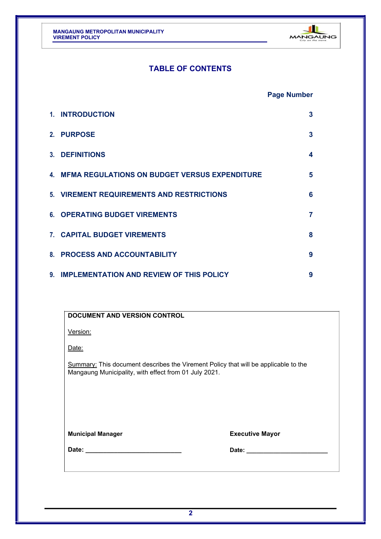

## **TABLE OF CONTENTS**

### **Page Number**

| 1. INTRODUCTION                                         | 3 |
|---------------------------------------------------------|---|
| 2. PURPOSE                                              | 3 |
| <b>3. DEFINITIONS</b>                                   | 4 |
| <b>4. MFMA REGULATIONS ON BUDGET VERSUS EXPENDITURE</b> | 5 |
| 5. VIREMENT REQUIREMENTS AND RESTRICTIONS               | 6 |
| <b>6. OPERATING BUDGET VIREMENTS</b>                    | 7 |
| 7. CAPITAL BUDGET VIREMENTS                             | 8 |
| 8. PROCESS AND ACCOUNTABILITY                           | 9 |
| 9. IMPLEMENTATION AND REVIEW OF THIS POLICY             | 9 |

| <b>DOCUMENT AND VERSION CONTROL</b>                                                                                                                 |                        |  |
|-----------------------------------------------------------------------------------------------------------------------------------------------------|------------------------|--|
| Version:                                                                                                                                            |                        |  |
| Date:                                                                                                                                               |                        |  |
| <b>Summary:</b> This document describes the Virement Policy that will be applicable to the<br>Mangaung Municipality, with effect from 01 July 2021. |                        |  |
|                                                                                                                                                     |                        |  |
|                                                                                                                                                     |                        |  |
| <b>Municipal Manager</b>                                                                                                                            | <b>Executive Mayor</b> |  |
|                                                                                                                                                     |                        |  |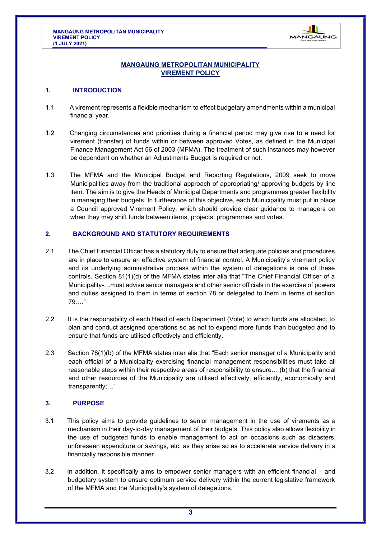

#### **MANGAUNG METROPOLITAN MUNICIPALITY VIREMENT POLICY**

#### <span id="page-2-0"></span>**1. INTRODUCTION**

- 1.1 A virement represents a flexible mechanism to effect budgetary amendments within a municipal financial year.
- 1.2 Changing circumstances and priorities during a financial period may give rise to a need for virement (transfer) of funds within or between approved Votes, as defined in the Municipal Finance Management Act 56 of 2003 (MFMA). The treatment of such instances may however be dependent on whether an Adjustments Budget is required or not.
- 1.3 The MFMA and the Municipal Budget and Reporting Regulations, 2009 seek to move Municipalities away from the traditional approach of appropriating/ approving budgets by line item. The aim is to give the Heads of Municipal Departments and programmes greater flexibility in managing their budgets. In furtherance of this objective, each Municipality must put in place a Council approved Virement Policy, which should provide clear guidance to managers on when they may shift funds between items, projects, programmes and votes.

#### **2. BACKGROUND AND STATUTORY REQUIREMENTS**

- 2.1 The Chief Financial Officer has a statutory duty to ensure that adequate policies and procedures are in place to ensure an effective system of financial control. A Municipality's virement policy and its underlying administrative process within the system of delegations is one of these controls. Section 81(1)(d) of the MFMA states inter alia that "The Chief Financial Officer of a Municipality-…must advise senior managers and other senior officials in the exercise of powers and duties assigned to them in terms of section 78 or delegated to them in terms of section 79:…"
- 2.2 It is the responsibility of each Head of each Department (Vote) to which funds are allocated, to plan and conduct assigned operations so as not to expend more funds than budgeted and to ensure that funds are utilised effectively and efficiently.
- 2.3 Section 78(1)(b) of the MFMA states inter alia that "Each senior manager of a Municipality and each official of a Municipality exercising financial management responsibilities must take all reasonable steps within their respective areas of responsibility to ensure… (b) that the financial and other resources of the Municipality are utilised effectively, efficiently, economically and transparently;…"

#### **3. PURPOSE**

- 3.1 This policy aims to provide guidelines to senior management in the use of virements as a mechanism in their day-to-day management of their budgets. This policy also allows flexibility in the use of budgeted funds to enable management to act on occasions such as disasters, unforeseen expenditure or savings, etc. as they arise so as to accelerate service delivery in a financially responsible manner.
- 3.2 In addition, it specifically aims to empower senior managers with an efficient financial and budgetary system to ensure optimum service delivery within the current legislative framework of the MFMA and the Municipality's system of delegations.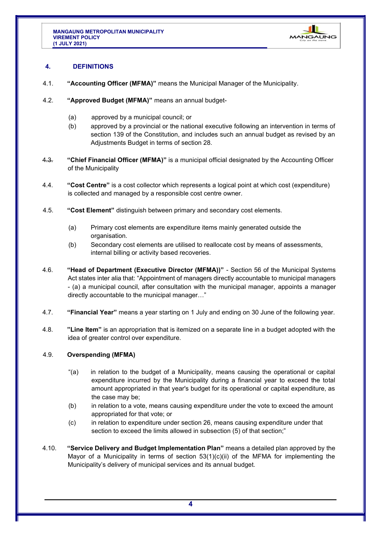

#### <span id="page-3-0"></span>**4. DEFINITIONS**

- 4.1. **"Accounting Officer (MFMA)"** means the Municipal Manager of the Municipality.
- 4.2. **"Approved Budget (MFMA)"** means an annual budget-
	- (a) approved by a municipal council; or
	- (b) approved by a provincial or the national executive following an intervention in terms of section 139 of the Constitution, and includes such an annual budget as revised by an Adjustments Budget in terms of section 28.
- 4.3. **"Chief Financial Officer (MFMA)"** is a municipal official designated by the Accounting Officer of the Municipality
- 4.4. **"Cost Centre"** is a cost collector which represents a logical point at which cost (expenditure) is collected and managed by a responsible cost centre owner.
- 4.5. **"Cost Element"** distinguish between primary and secondary cost elements.
	- (a) Primary cost elements are expenditure items mainly generated outside the organisation.
	- (b) Secondary cost elements are utilised to reallocate cost by means of assessments, internal billing or activity based recoveries.
- 4.6. **"Head of Department (Executive Director (MFMA))"**  Section 56 of the Municipal Systems Act states inter alia that: "Appointment of managers directly accountable to municipal managers - (a) a municipal council, after consultation with the municipal manager, appoints a manager directly accountable to the municipal manager…"
- 4.7. **"Financial Year"** means a year starting on 1 July and ending on 30 June of the following year.
- 4.8. **"Line Item"** is an appropriation that is itemized on a separate line in a budget adopted with the idea of greater control over expenditure.

#### 4.9. **Overspending (MFMA)**

- "(a) in relation to the budget of a Municipality, means causing the operational or capital expenditure incurred by the Municipality during a financial year to exceed the total amount appropriated in that year's budget for its operational or capital expenditure, as the case may be;
- (b) in relation to a vote, means causing expenditure under the vote to exceed the amount appropriated for that vote; or
- (c) in relation to expenditure under section 26, means causing expenditure under that section to exceed the limits allowed in subsection (5) of that section;"
- 4.10. **"Service Delivery and Budget Implementation Plan"** means a detailed plan approved by the Mayor of a Municipality in terms of section 53(1)(c)(ii) of the MFMA for implementing the Municipality's delivery of municipal services and its annual budget.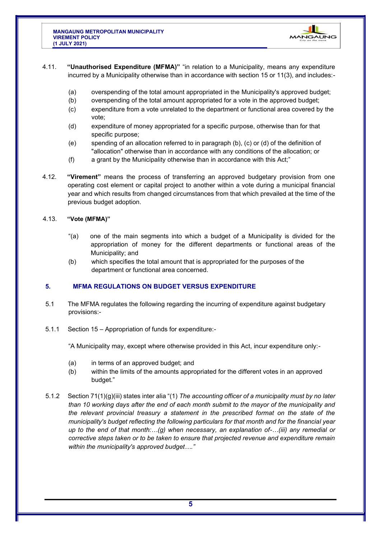

- <span id="page-4-0"></span>4.11. **"Unauthorised Expenditure (MFMA)"** "in relation to a Municipality, means any expenditure incurred by a Municipality otherwise than in accordance with section 15 or 11(3), and includes:-
	- (a) overspending of the total amount appropriated in the Municipality's approved budget;
	- (b) overspending of the total amount appropriated for a vote in the approved budget;
	- (c) expenditure from a vote unrelated to the department or functional area covered by the vote;
	- (d) expenditure of money appropriated for a specific purpose, otherwise than for that specific purpose;
	- (e) spending of an allocation referred to in paragraph (b), (c) or (d) of the definition of "allocation" otherwise than in accordance with any conditions of the allocation; or
	- (f) a grant by the Municipality otherwise than in accordance with this Act;"
- 4.12. **"Virement"** means the process of transferring an approved budgetary provision from one operating cost element or capital project to another within a vote during a municipal financial year and which results from changed circumstances from that which prevailed at the time of the previous budget adoption.

#### 4.13. **"Vote (MFMA)"**

- "(a) one of the main segments into which a budget of a Municipality is divided for the appropriation of money for the different departments or functional areas of the Municipality; and
- (b) which specifies the total amount that is appropriated for the purposes of the department or functional area concerned.

#### **5. MFMA REGULATIONS ON BUDGET VERSUS EXPENDITURE**

- 5.1 The MFMA regulates the following regarding the incurring of expenditure against budgetary provisions:-
- 5.1.1 Section 15 Appropriation of funds for expenditure:-

"A Municipality may, except where otherwise provided in this Act, incur expenditure only:-

- (a) in terms of an approved budget; and
- (b) within the limits of the amounts appropriated for the different votes in an approved budget."
- 5.1.2 Section 71(1)(g)(iii) states inter alia "(1) *The accounting officer of a municipality must by no later than 10 working days after the end of each month submit to the mayor of the municipality and the relevant provincial treasury a statement in the prescribed format on the state of the municipality's budget reflecting the following particulars for that month and for the financial year up to the end of that month:…(g) when necessary, an explanation of-…(iii) any remedial or corrective steps taken or to be taken to ensure that projected revenue and expenditure remain within the municipality's approved budget…."*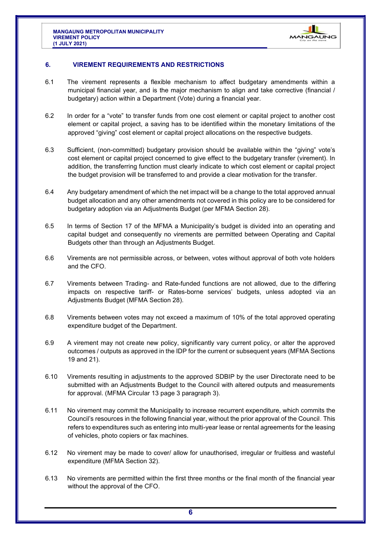

#### <span id="page-5-0"></span>**6. VIREMENT REQUIREMENTS AND RESTRICTIONS**

- 6.1 The virement represents a flexible mechanism to affect budgetary amendments within a municipal financial year, and is the major mechanism to align and take corrective (financial / budgetary) action within a Department (Vote) during a financial year.
- 6.2 In order for a "vote" to transfer funds from one cost element or capital project to another cost element or capital project, a saving has to be identified within the monetary limitations of the approved "giving" cost element or capital project allocations on the respective budgets.
- 6.3 Sufficient, (non-committed) budgetary provision should be available within the "giving" vote's cost element or capital project concerned to give effect to the budgetary transfer (virement). In addition, the transferring function must clearly indicate to which cost element or capital project the budget provision will be transferred to and provide a clear motivation for the transfer.
- 6.4 Any budgetary amendment of which the net impact will be a change to the total approved annual budget allocation and any other amendments not covered in this policy are to be considered for budgetary adoption via an Adjustments Budget (per MFMA Section 28).
- 6.5 In terms of Section 17 of the MFMA a Municipality's budget is divided into an operating and capital budget and consequently no virements are permitted between Operating and Capital Budgets other than through an Adjustments Budget.
- 6.6 Virements are not permissible across, or between, votes without approval of both vote holders and the CFO.
- 6.7 Virements between Trading- and Rate-funded functions are not allowed, due to the differing impacts on respective tariff- or Rates-borne services' budgets, unless adopted via an Adjustments Budget (MFMA Section 28).
- 6.8 Virements between votes may not exceed a maximum of 10% of the total approved operating expenditure budget of the Department.
- 6.9 A virement may not create new policy, significantly vary current policy, or alter the approved outcomes / outputs as approved in the IDP for the current or subsequent years (MFMA Sections 19 and 21).
- 6.10 Virements resulting in adjustments to the approved SDBIP by the user Directorate need to be submitted with an Adjustments Budget to the Council with altered outputs and measurements for approval. (MFMA Circular 13 page 3 paragraph 3).
- 6.11 No virement may commit the Municipality to increase recurrent expenditure, which commits the Council's resources in the following financial year, without the prior approval of the Council. This refers to expenditures such as entering into multi-year lease or rental agreements for the leasing of vehicles, photo copiers or fax machines.
- 6.12 No virement may be made to cover/ allow for unauthorised, irregular or fruitless and wasteful expenditure (MFMA Section 32).
- 6.13 No virements are permitted within the first three months or the final month of the financial year without the approval of the CFO.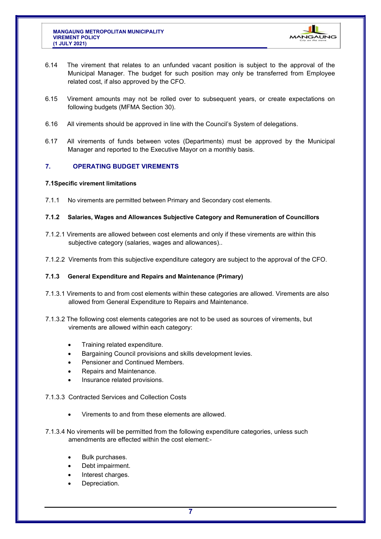

- <span id="page-6-0"></span>6.14 The virement that relates to an unfunded vacant position is subject to the approval of the Municipal Manager. The budget for such position may only be transferred from Employee related cost, if also approved by the CFO.
- 6.15 Virement amounts may not be rolled over to subsequent years, or create expectations on following budgets (MFMA Section 30).
- 6.16 All virements should be approved in line with the Council's System of delegations.
- 6.17 All virements of funds between votes (Departments) must be approved by the Municipal Manager and reported to the Executive Mayor on a monthly basis.

#### **7. OPERATING BUDGET VIREMENTS**

#### **7.1Specific virement limitations**

- 7.1.1 No virements are permitted between Primary and Secondary cost elements.
- **7.1.2 Salaries, Wages and Allowances Subjective Category and Remuneration of Councillors**
- 7.1.2.1 Virements are allowed between cost elements and only if these virements are within this subjective category (salaries, wages and allowances)..
- 7.1.2.2 Virements from this subjective expenditure category are subject to the approval of the CFO.

#### **7.1.3 General Expenditure and Repairs and Maintenance (Primary)**

- 7.1.3.1 Virements to and from cost elements within these categories are allowed. Virements are also allowed from General Expenditure to Repairs and Maintenance.
- 7.1.3.2 The following cost elements categories are not to be used as sources of virements, but virements are allowed within each category:
	- Training related expenditure.
	- Bargaining Council provisions and skills development levies.
	- Pensioner and Continued Members.
	- Repairs and Maintenance.
	- Insurance related provisions.
- 7.1.3.3 Contracted Services and Collection Costs
	- Virements to and from these elements are allowed.
- 7.1.3.4 No virements will be permitted from the following expenditure categories, unless such amendments are effected within the cost element:-
	- Bulk purchases.
	- Debt impairment.
	- Interest charges.
	- Depreciation.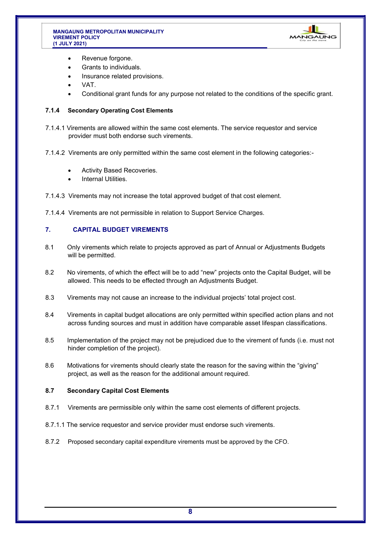#### <span id="page-7-0"></span>**MANGAUNG METROPOLITAN MUNICIPALITY VIREMENT POLICY (1 JULY 2021)**



- Revenue forgone.
- Grants to individuals.
- Insurance related provisions.
- VAT.
- Conditional grant funds for any purpose not related to the conditions of the specific grant.

#### **7.1.4 Secondary Operating Cost Elements**

- 7.1.4.1 Virements are allowed within the same cost elements. The service requestor and service provider must both endorse such virements.
- 7.1.4.2 Virements are only permitted within the same cost element in the following categories:-
	- Activity Based Recoveries.
	- Internal Utilities.
- 7.1.4.3 Virements may not increase the total approved budget of that cost element.
- 7.1.4.4 Virements are not permissible in relation to Support Service Charges.

#### **7. CAPITAL BUDGET VIREMENTS**

- 8.1 Only virements which relate to projects approved as part of Annual or Adjustments Budgets will be permitted.
- 8.2 No virements, of which the effect will be to add "new" projects onto the Capital Budget, will be allowed. This needs to be effected through an Adjustments Budget.
- 8.3 Virements may not cause an increase to the individual projects' total project cost.
- 8.4 Virements in capital budget allocations are only permitted within specified action plans and not across funding sources and must in addition have comparable asset lifespan classifications.
- 8.5 Implementation of the project may not be prejudiced due to the virement of funds (i.e. must not hinder completion of the project).
- 8.6 Motivations for virements should clearly state the reason for the saving within the "giving" project, as well as the reason for the additional amount required.

#### **8.7 Secondary Capital Cost Elements**

- 8.7.1 Virements are permissible only within the same cost elements of different projects.
- 8.7.1.1 The service requestor and service provider must endorse such virements.
- 8.7.2 Proposed secondary capital expenditure virements must be approved by the CFO.